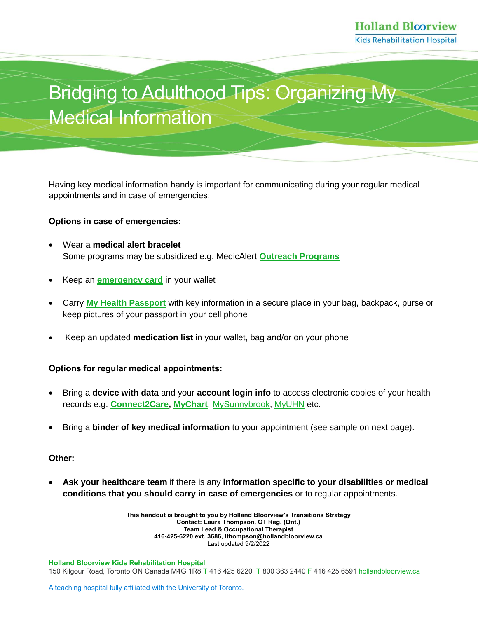# Bridging to Adulthood Tips: Organizing My Medical Information

Having key medical information handy is important for communicating during your regular medical appointments and in case of emergencies:

### **Options in case of emergencies:**

- Wear a **medical alert bracelet** Some programs may be subsidized e.g. MedicAlert **[Outreach Programs](https://www.medicalert.ca/programs)**
- Keep an **[emergency card](https://www.toronto.ca/wp-content/uploads/2017/10/903f-ICE-Sheet2016-1.pdf)** in your wallet
- Carry **[My Health Passport](https://wapps.sickkids.ca/myhealthpassport/)** with key information in a secure place in your bag, backpack, purse or keep pictures of your passport in your cell phone
- Keep an updated **medication list** in your wallet, bag and/or on your phone

### **Options for regular medical appointments:**

- Bring a **device with data** and your **account login info** to access electronic copies of your health records e.g. **[Connect2Care,](https://connect2care.hollandbloorview.ca/Phm-PhmHome.HomePage.WR.mthr?hcis=BLMWEB.LIVEF&application=PHM) [MyChart](https://www.sickkids.ca/en/patients-visitors/mychart/)**, [MySunnybrook,](https://sunnybrook.ca/content/?page=mysunnybrook-digital-services) [MyUHN](https://www.uhn.ca/PatientsFamilies/myUHN) etc.
- Bring a **binder of key medical information** to your appointment (see sample on next page).

### **Other:**

 **Ask your healthcare team** if there is any **information specific to your disabilities or medical conditions that you should carry in case of emergencies** or to regular appointments.

> **This handout is brought to you by Holland Bloorview's Transitions Strategy Contact: Laura Thompson, OT Reg. (Ont.) Team Lead & Occupational Therapist 416-425-6220 ext. 3686, lthompson@hollandbloorview.ca** Last updated 9/2/2022

**Holland Bloorview Kids Rehabilitation Hospital** 150 Kilgour Road, Toronto ON Canada M4G 1R8 **T** 416 425 6220 **T** 800 363 2440 **F** 416 425 659[1 hollandbloorview.ca](https://www.hollandbloorview.ca/)